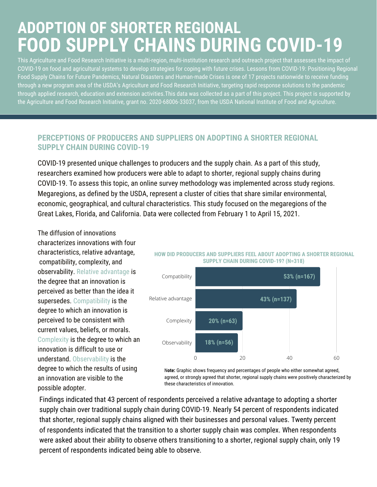## **ADOPTION OF SHORTER REGIONAL FOOD SUPPLY CHAINS DURING COVID-19**

This Agriculture and Food Research Initiative is a multi-region, multi-institution research and outreach project that assesses the impact of COVID-19 on food and agricultural systems to develop strategies for coping with future crises. Lessons from COVID-19: Positioning Regional Food Supply Chains for Future Pandemics, Natural Disasters and Human-made Crises is one of 17 [projects](https://cris.nifa.usda.gov/cgi-bin/starfinder/0?path=fastlink1.txt&id=anon&pass=&search=(AN=1024156;1023886;1023941;1023601;1023636;1024148;1023963;1024476;1023801;1024141;1024254;1024248;1024308;1024145;1024252;1024486;1024378)&format=WEBTITLESGIY) nationwide to receive funding through a new [program](https://nifa.usda.gov/press-release/usda-nifa-grants-nearly-14-million-rapid-response-help-us-universities-find-scientific) area of the USDA's Agriculture and Food Research Initiative, targeting rapid response solutions to the pandemic through applied research, education and extension activities.This data was collected as a part of this project. This project is supported by the Agriculture and Food Research Initiative, grant no. 2020-68006-33037, from the USDA National Institute of Food and Agriculture.

## **PERCEPTIONS OF PRODUCERS AND SUPPLIERS ON ADOPTING A SHORTER REGIONAL SUPPLY CHAIN DURING COVID-19**

COVID-19 presented unique challenges to producers and the supply chain. As a part of this study, researchers examined how producers were able to adapt to shorter, regional supply chains during COVID-19. To assess this topic, an online survey methodology was implemented across study regions. Megaregions, as defined by the USDA, represent a cluster of cities that share similar environmental, economic, geographical, and cultural characteristics. This study focused on the megaregions of the Great Lakes, Florida, and California. Data were collected from February 1 to April 15, 2021.

The diffusion of innovations characterizes innovations with four characteristics, relative advantage, compatibility, complexity, and observability. Relative advantage is the degree that an innovation is perceived as better than the idea it supersedes. Compatibility is the degree to which an innovation is perceived to be consistent with current values, beliefs, or morals. Complexity is the degree to which an innovation is difficult to use or understand. Observability is the degree to which the results of using an innovation are visible to the possible adopter.





N**ote:** Graphic shows frequency and percentages of people who either somewhat agreed, agreed, or strongly agreed that shorter, regional supply chains were positively characterized by these characteristics of innovation.

Findings indicated that 43 percent of respondents perceived a relative advantage to adopting a shorter supply chain over traditional supply chain during COVID-19. Nearly 54 percent of respondents indicated that shorter, regional supply chains aligned with their businesses and personal values. Twenty percent of respondents indicated that the transition to a shorter supply chain was complex. When respondents were asked about their ability to observe others transitioning to a shorter, regional supply chain, only 19 percent of respondents indicated being able to observe.